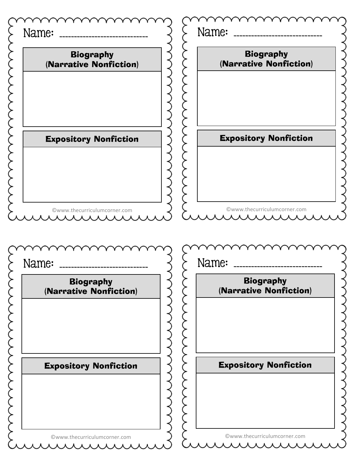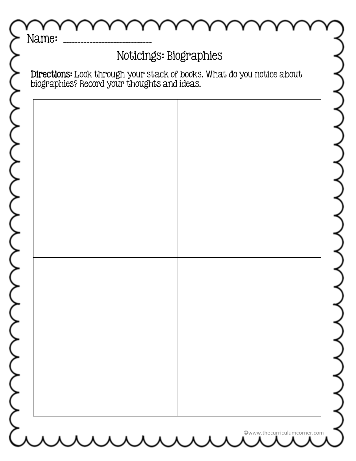|                                              | Noticings: Biographies                                                 |
|----------------------------------------------|------------------------------------------------------------------------|
| biographies? Record your thoughts and ideas. | Directions: Look through your stack of books. What do you notice about |
|                                              |                                                                        |
|                                              |                                                                        |
|                                              |                                                                        |
|                                              |                                                                        |
|                                              |                                                                        |
|                                              |                                                                        |
|                                              |                                                                        |
|                                              |                                                                        |
|                                              |                                                                        |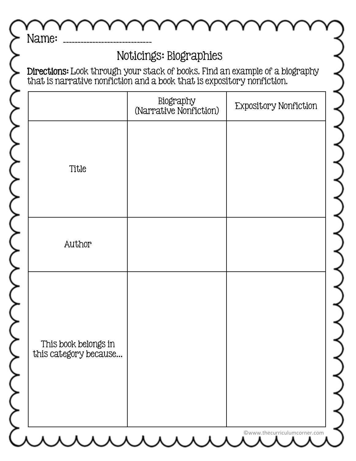|                                               | Noticings: Biographies                                                                                                                                 |                              |
|-----------------------------------------------|--------------------------------------------------------------------------------------------------------------------------------------------------------|------------------------------|
|                                               | Directions: Look through your stack of books. Find an example of a biography<br>that is narrative nonfiction and a book that is expository nonfiction. |                              |
|                                               | Biography<br>(Narrative Nonfiction)                                                                                                                    | <b>Expository Nonfiction</b> |
|                                               |                                                                                                                                                        |                              |
| Title                                         |                                                                                                                                                        |                              |
|                                               |                                                                                                                                                        |                              |
| Author                                        |                                                                                                                                                        |                              |
|                                               |                                                                                                                                                        |                              |
|                                               |                                                                                                                                                        |                              |
|                                               |                                                                                                                                                        |                              |
| This book belongs in<br>this category because |                                                                                                                                                        |                              |
|                                               |                                                                                                                                                        |                              |
|                                               |                                                                                                                                                        |                              |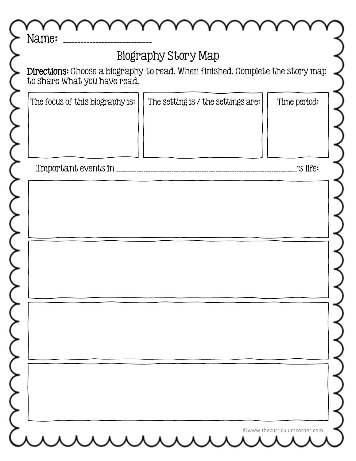| <b>Biography Story Map</b>      |                                                                               |              |
|---------------------------------|-------------------------------------------------------------------------------|--------------|
| to share what you have read.    | Directions: Choose a biography to read. When finished. Complete the story map |              |
| The focus of this biography is: | The setting is / the settings are:                                            | Time period: |
| Important events in             |                                                                               | 'S life:     |
|                                 |                                                                               |              |
|                                 |                                                                               |              |
|                                 |                                                                               |              |
|                                 |                                                                               |              |
|                                 |                                                                               |              |
|                                 |                                                                               |              |
|                                 |                                                                               |              |
|                                 |                                                                               |              |
|                                 |                                                                               |              |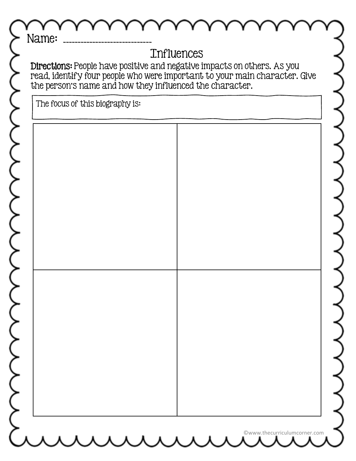|                                 | the person's name and how they influenced the character. | read, identify four people who were important to your main character. Give |
|---------------------------------|----------------------------------------------------------|----------------------------------------------------------------------------|
| The focus of this biography is: |                                                          |                                                                            |
|                                 |                                                          |                                                                            |
|                                 |                                                          |                                                                            |
|                                 |                                                          |                                                                            |
|                                 |                                                          |                                                                            |
|                                 |                                                          |                                                                            |
|                                 |                                                          |                                                                            |
|                                 |                                                          |                                                                            |
|                                 |                                                          |                                                                            |
|                                 |                                                          |                                                                            |
|                                 |                                                          |                                                                            |
|                                 |                                                          |                                                                            |
|                                 |                                                          |                                                                            |
|                                 |                                                          |                                                                            |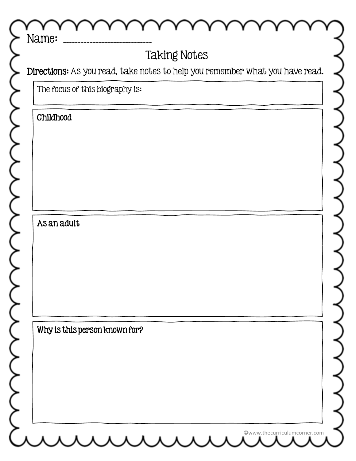| Name:<br><b>Taking Notes</b>                                                 |  |  |
|------------------------------------------------------------------------------|--|--|
| Directions: As you read, take notes to help you remember what you have read. |  |  |
| The focus of this biography is:                                              |  |  |
| <b>Childhood</b>                                                             |  |  |
|                                                                              |  |  |
|                                                                              |  |  |
|                                                                              |  |  |
|                                                                              |  |  |
|                                                                              |  |  |
| As an adult                                                                  |  |  |
|                                                                              |  |  |
|                                                                              |  |  |
|                                                                              |  |  |
|                                                                              |  |  |
| Why is this person known for?                                                |  |  |
|                                                                              |  |  |
|                                                                              |  |  |
|                                                                              |  |  |
|                                                                              |  |  |
|                                                                              |  |  |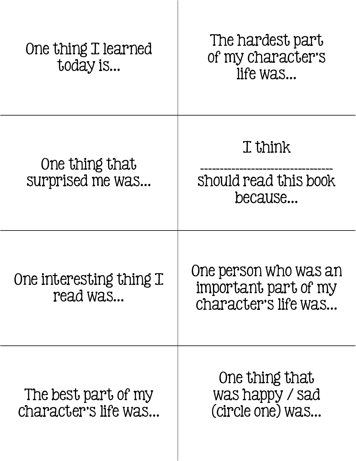| One thing I learned<br>today is             | The hardest part<br>of my character's<br>life was                     |
|---------------------------------------------|-----------------------------------------------------------------------|
| One thing that<br>surprised me was          | I think<br>should read this book<br>because                           |
| One interesting thing I<br>read was         | One person who was an<br>important part of my<br>character's life was |
| The best part of my<br>character's life was | One thing that<br>was happy / sad<br>(circle one) was                 |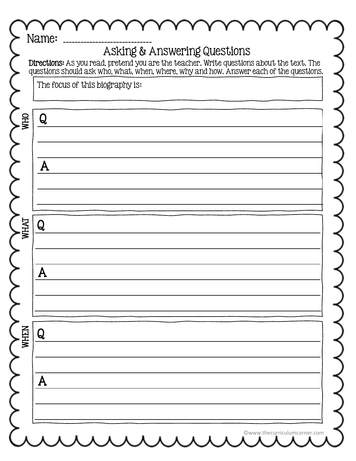| The focus of this biography is: | Directions: As you read, pretend you are the teacher. Write questions about the text. The<br>questions should ask who, what, when, where, why and how. Answer each of the questions. |  |
|---------------------------------|--------------------------------------------------------------------------------------------------------------------------------------------------------------------------------------|--|
|                                 |                                                                                                                                                                                      |  |
| Q                               |                                                                                                                                                                                      |  |
|                                 |                                                                                                                                                                                      |  |
|                                 |                                                                                                                                                                                      |  |
| A                               |                                                                                                                                                                                      |  |
|                                 |                                                                                                                                                                                      |  |
|                                 |                                                                                                                                                                                      |  |
| Q                               |                                                                                                                                                                                      |  |
|                                 |                                                                                                                                                                                      |  |
| $\mathbf{L}$                    |                                                                                                                                                                                      |  |
|                                 |                                                                                                                                                                                      |  |
|                                 |                                                                                                                                                                                      |  |
| Q                               |                                                                                                                                                                                      |  |
|                                 |                                                                                                                                                                                      |  |
| A                               |                                                                                                                                                                                      |  |
|                                 |                                                                                                                                                                                      |  |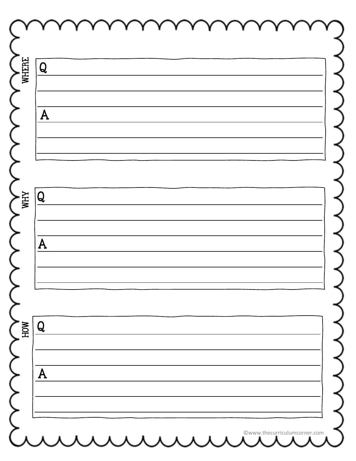| Q              |  |
|----------------|--|
|                |  |
| $\overline{A}$ |  |
|                |  |
|                |  |
|                |  |
| $\overline{Q}$ |  |
|                |  |
| ${\bf A}$      |  |
|                |  |
|                |  |
| Q              |  |
|                |  |
| ${\sf A}$      |  |
|                |  |
|                |  |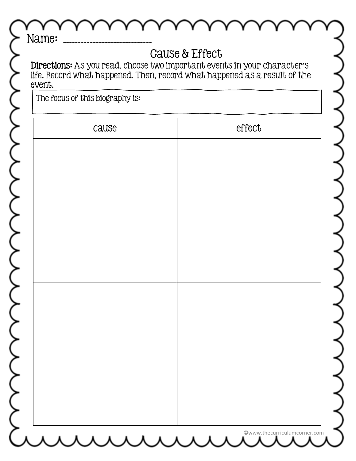| <b>Cause &amp; Effect</b><br>Directions: As you read, choose two important events in your character's |        |  |
|-------------------------------------------------------------------------------------------------------|--------|--|
| life. Record what happened. Then, record what happened as a result of the<br>event.                   |        |  |
| The focus of this biography is:                                                                       |        |  |
| cause                                                                                                 | effect |  |
|                                                                                                       |        |  |
|                                                                                                       |        |  |
|                                                                                                       |        |  |
|                                                                                                       |        |  |
|                                                                                                       |        |  |
|                                                                                                       |        |  |
|                                                                                                       |        |  |
|                                                                                                       |        |  |
|                                                                                                       |        |  |
|                                                                                                       |        |  |
|                                                                                                       |        |  |
|                                                                                                       |        |  |
|                                                                                                       |        |  |
|                                                                                                       |        |  |